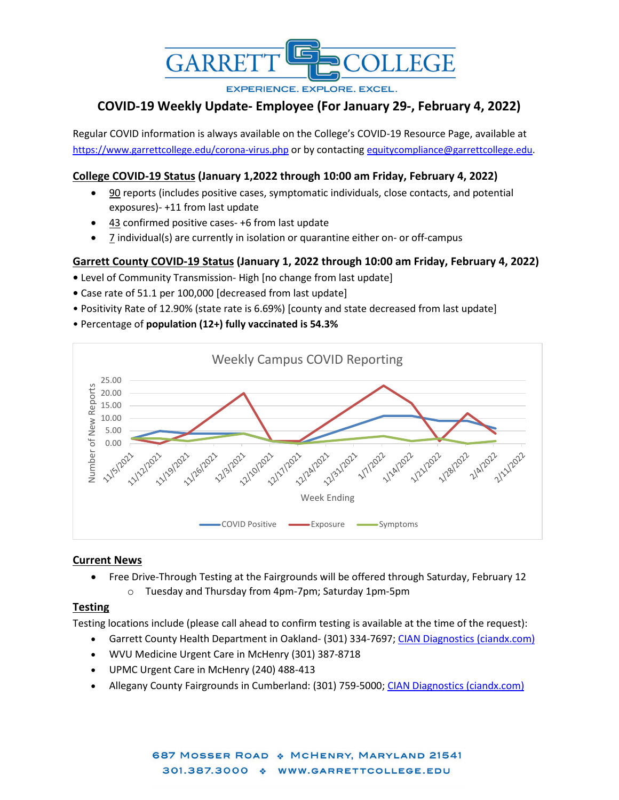

**EXPERIENCE. EXPLORE. EXCEL.** 

# **COVID-19 Weekly Update- Employee (For January 29-, February 4, 2022)**

Regular COVID information is always available on the College's COVID-19 Resource Page, available at <https://www.garrettcollege.edu/corona-virus.php> or by contacting [equitycompliance@garrettcollege.edu.](mailto:equitycompliance@garrettcollege.edu)

## **College COVID-19 Status (January 1,2022 through 10:00 am Friday, February 4, 2022)**

- 90 reports (includes positive cases, symptomatic individuals, close contacts, and potential exposures)- +11 from last update
- 43 confirmed positive cases- +6 from last update
- 7 individual(s) are currently in isolation or quarantine either on- or off-campus

## **Garrett County COVID-19 Status (January 1, 2022 through 10:00 am Friday, February 4, 2022)**

- Level of Community Transmission- High [no change from last update]
- Case rate of 51.1 per 100,000 [decreased from last update]
- Positivity Rate of 12.90% (state rate is 6.69%) [county and state decreased from last update]
- Percentage of **population (12+) fully vaccinated is 54.3%**



### **Current News**

- Free Drive-Through Testing at the Fairgrounds will be offered through Saturday, February 12
	- o Tuesday and Thursday from 4pm-7pm; Saturday 1pm-5pm

### **Testing**

Testing locations include (please call ahead to confirm testing is available at the time of the request):

- Garrett County Health Department in Oakland- (301) 334-7697; [CIAN Diagnostics \(ciandx.com\)](https://portal.ciandx.com/register?team=garrett_county_hd)
- WVU Medicine Urgent Care in McHenry (301) 387-8718
- UPMC Urgent Care in McHenry (240) 488-413
- Allegany County Fairgrounds in Cumberland: (301) 759-5000; [CIAN Diagnostics \(ciandx.com\)](https://portal.ciandx.com/register?team=allegany_county_hd)